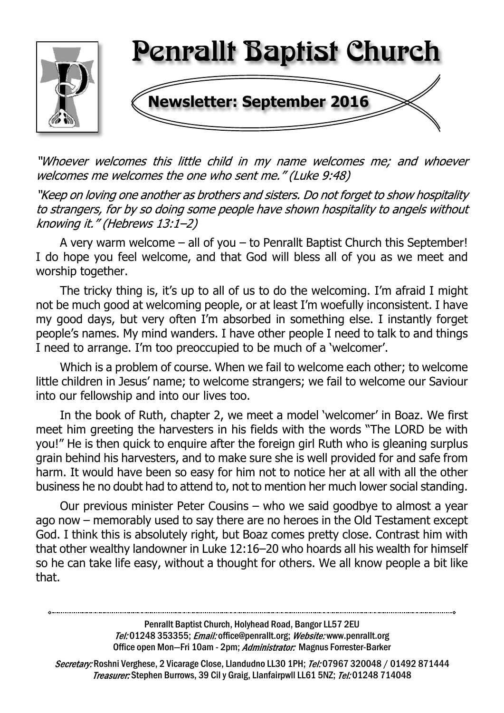

"Whoever welcomes this little child in my name welcomes me; and whoever welcomes me welcomes the one who sent me." (Luke 9:48)

"Keep on loving one another as brothers and sisters. Do not forget to show hospitality to strangers, for by so doing some people have shown hospitality to angels without knowing it." (Hebrews 13:1-2)

A very warm welcome – all of you – to Penrallt Baptist Church this September! I do hope you feel welcome, and that God will bless all of you as we meet and worship together.

The tricky thing is, it's up to all of us to do the welcoming. I'm afraid I might not be much good at welcoming people, or at least I'm woefully inconsistent. I have my good days, but very often I'm absorbed in something else. I instantly forget people's names. My mind wanders. I have other people I need to talk to and things I need to arrange. I'm too preoccupied to be much of a 'welcomer'.

Which is a problem of course. When we fail to welcome each other; to welcome little children in Jesus' name; to welcome strangers; we fail to welcome our Saviour into our fellowship and into our lives too.

In the book of Ruth, chapter 2, we meet a model 'welcomer' in Boaz. We first meet him greeting the harvesters in his fields with the words "The LORD be with you!" He is then quick to enquire after the foreign girl Ruth who is gleaning surplus grain behind his harvesters, and to make sure she is well provided for and safe from harm. It would have been so easy for him not to notice her at all with all the other business he no doubt had to attend to, not to mention her much lower social standing.

Our previous minister Peter Cousins – who we said goodbye to almost a year ago now – memorably used to say there are no heroes in the Old Testament except God. I think this is absolutely right, but Boaz comes pretty close. Contrast him with that other wealthy landowner in Luke 12:16–20 who hoards all his wealth for himself so he can take life easy, without a thought for others. We all know people a bit like that.

> Penrallt Baptist Church, Holyhead Road, Bangor LL57 2EU Tel:01248 353355; Email: office@penrallt.org; Website: www.penrallt.org Office open Mon-Fri 10am - 2pm; Administrator: Magnus Forrester-Barker

Secretary: Roshni Verghese, 2 Vicarage Close, Llandudno LL30 1PH; Tel: 07967 320048 / 01492 871444 Treasurer: Stephen Burrows, 39 Cil y Graig, Llanfairpwll LL61 5NZ; Tel: 01248 714048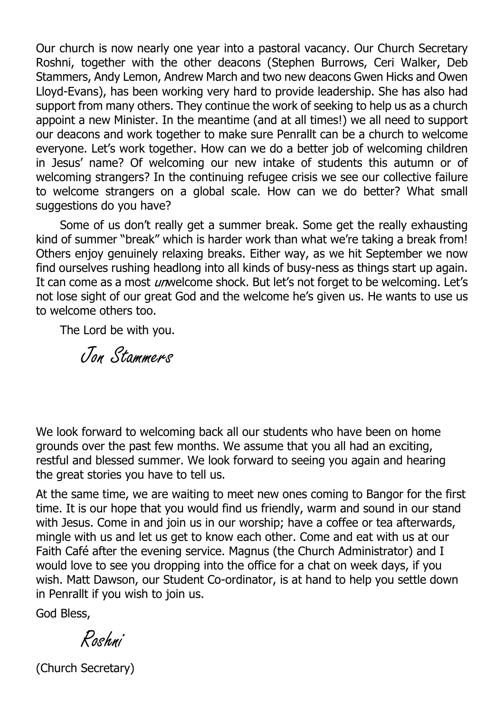Our church is now nearly one year into a pastoral vacancy. Our Church Secretary Roshni, together with the other deacons (Stephen Burrows, Ceri Walker, Deb Stammers, Andy Lemon, Andrew March and two new deacons Gwen Hicks and Owen Lloyd-Evans), has been working very hard to provide leadership. She has also had support from many others. They continue the work of seeking to help us as a church appoint a new Minister. In the meantime (and at all times!) we all need to support our deacons and work together to make sure Penrallt can be a church to welcome everyone. Let's work together. How can we do a better job of welcoming children in Jesus' name? Of welcoming our new intake of students this autumn or of welcoming strangers? In the continuing refugee crisis we see our collective failure to welcome strangers on a global scale. How can we do better? What small suggestions do you have?

Some of us don't really get a summer break. Some get the really exhausting kind of summer "break" which is harder work than what we're taking a break from! Others enjoy genuinely relaxing breaks. Either way, as we hit September we now find ourselves rushing headlong into all kinds of busy-ness as things start up again. It can come as a most *un* welcome shock. But let's not forget to be welcoming. Let's not lose sight of our great God and the welcome he's given us. He wants to use us to welcome others too.

The Lord be with you.

Jon Stammers

We look forward to welcoming back all our students who have been on home grounds over the past few months. We assume that you all had an exciting, restful and blessed summer. We look forward to seeing you again and hearing the great stories you have to tell us.

At the same time, we are waiting to meet new ones coming to Bangor for the first time. It is our hope that you would find us friendly, warm and sound in our stand with Jesus. Come in and join us in our worship; have a coffee or tea afterwards, mingle with us and let us get to know each other. Come and eat with us at our Faith Café after the evening service. Magnus (the Church Administrator) and I would love to see you dropping into the office for a chat on week days, if you wish. Matt Dawson, our Student Co-ordinator, is at hand to help you settle down in Penrallt if you wish to join us.

God Bless,

Roshni

(Church Secretary)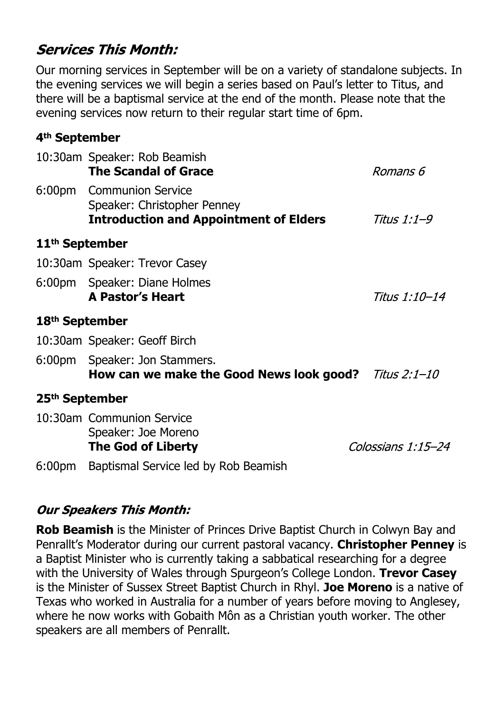# **Services This Month:**

Our morning services in September will be on a variety of standalone subjects. In the evening services we will begin a series based on Paul's letter to Titus, and there will be a baptismal service at the end of the month. Please note that the evening services now return to their regular start time of 6pm.

#### **4th September**

|                            | 10:30am Speaker: Rob Beamish<br><b>The Scandal of Grace</b>                                              | Romans 6           |
|----------------------------|----------------------------------------------------------------------------------------------------------|--------------------|
|                            | 6:00pm Communion Service<br>Speaker: Christopher Penney<br><b>Introduction and Appointment of Elders</b> | Titus 1:1–9        |
| 11 <sup>th</sup> September |                                                                                                          |                    |
|                            | 10:30am Speaker: Trevor Casey                                                                            |                    |
|                            | 6:00pm Speaker: Diane Holmes<br><b>A Pastor's Heart</b>                                                  | Titus 1:10–14      |
| 18 <sup>th</sup> September |                                                                                                          |                    |
|                            | 10:30am Speaker: Geoff Birch                                                                             |                    |
|                            | 6:00pm Speaker: Jon Stammers.<br>How can we make the Good News look good? <i>Titus 2:1-10</i>            |                    |
| 25 <sup>th</sup> September |                                                                                                          |                    |
|                            | 10:30am Communion Service<br>Speaker: Joe Moreno<br><b>The God of Liberty</b>                            | Colossians 1:15-24 |
| 6:00pm                     | Baptismal Service led by Rob Beamish                                                                     |                    |

#### **Our Speakers This Month:**

**Rob Beamish** is the Minister of Princes Drive Baptist Church in Colwyn Bay and Penrallt's Moderator during our current pastoral vacancy. **Christopher Penney** is a Baptist Minister who is currently taking a sabbatical researching for a degree with the University of Wales through Spurgeon's College London. **Trevor Casey** is the Minister of Sussex Street Baptist Church in Rhyl. **Joe Moreno** is a native of Texas who worked in Australia for a number of years before moving to Anglesey, where he now works with Gobaith Môn as a Christian youth worker. The other speakers are all members of Penrallt.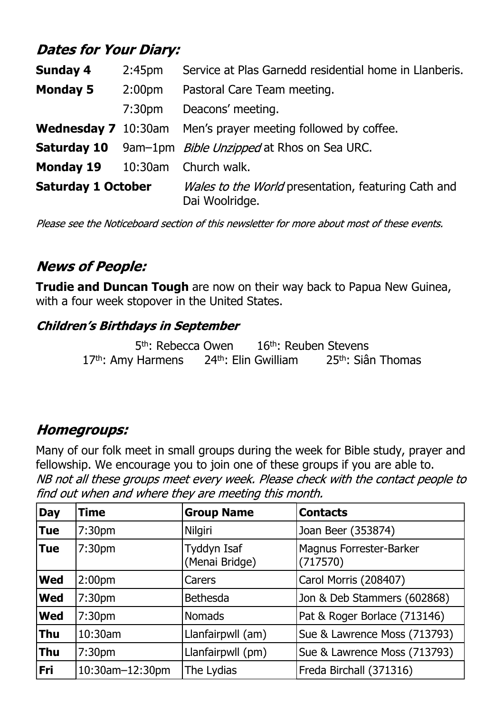# **Dates for Your Diary:**

| <b>Sunday 4</b>                       | 2:45 <sub>pm</sub> | Service at Plas Garnedd residential home in Llanberis.                |  |
|---------------------------------------|--------------------|-----------------------------------------------------------------------|--|
| <b>Monday 5</b><br>2:00 <sub>pm</sub> |                    | Pastoral Care Team meeting.                                           |  |
|                                       | 7:30 <sub>pm</sub> | Deacons' meeting.                                                     |  |
| <b>Wednesday 7</b> 10:30am            |                    | Men's prayer meeting followed by coffee.                              |  |
| <b>Saturday 10</b>                    |                    | 9am-1pm <i>Bible Unzipped</i> at Rhos on Sea URC.                     |  |
| <b>Monday 19</b>                      |                    | 10:30am Church walk.                                                  |  |
| <b>Saturday 1 October</b>             |                    | Wales to the World presentation, featuring Cath and<br>Dai Woolridge. |  |

Please see the Noticeboard section of this newsletter for more about most of these events.

# **News of People:**

**Trudie and Duncan Tough** are now on their way back to Papua New Guinea, with a four week stopover in the United States.

#### **Children's Birthdays in September**

5<sup>th</sup>: Rebecca Owen 16<sup>th</sup>: Reuben Stevens 17<sup>th</sup>: Amy Harmens 24<sup>th</sup>: Elin Gwilliam 25<sup>th</sup>: Siân Thomas

## **Homegroups:**

Many of our folk meet in small groups during the week for Bible study, prayer and fellowship. We encourage you to join one of these groups if you are able to.NB not all these groups meet every week. Please check with the contact people to find out when and where they are meeting this month.

| <b>Day</b> | Time               | <b>Group Name</b>             | <b>Contacts</b>                            |
|------------|--------------------|-------------------------------|--------------------------------------------|
| <b>Tue</b> | 7:30 <sub>pm</sub> | Nilgiri                       | Joan Beer (353874)                         |
| Tue        | 7:30 <sub>pm</sub> | Tyddyn Isaf<br>(Menai Bridge) | <b>Magnus Forrester-Barker</b><br>(717570) |
| <b>Wed</b> | 2:00 <sub>pm</sub> | Carers                        | Carol Morris (208407)                      |
| <b>Wed</b> | 7:30 <sub>pm</sub> | <b>Bethesda</b>               | Jon & Deb Stammers (602868)                |
| <b>Wed</b> | 7:30 <sub>pm</sub> | <b>Nomads</b>                 | Pat & Roger Borlace (713146)               |
| <b>Thu</b> | 10:30am            | Llanfairpwll (am)             | Sue & Lawrence Moss (713793)               |
| <b>Thu</b> | 7:30 <sub>pm</sub> | Llanfairpwll (pm)             | Sue & Lawrence Moss (713793)               |
| Fri        | 10:30am-12:30pm    | The Lydias                    | Freda Birchall (371316)                    |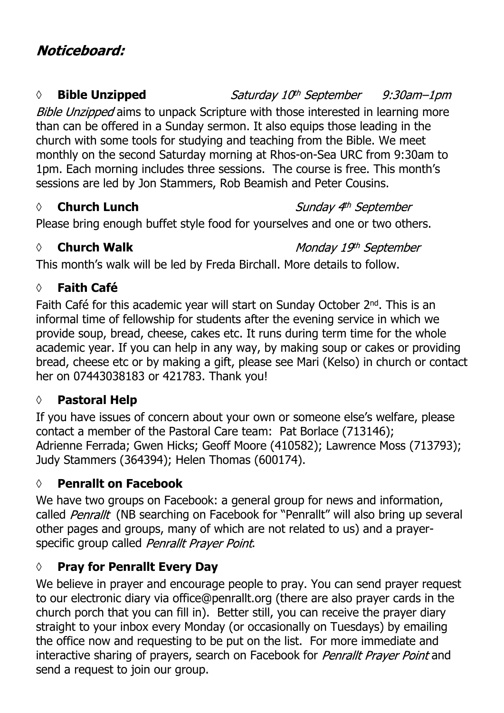#### *◊* **Bible Unzipped**

Saturday 10<sup>th</sup> September 9:30am-1pm Bible Unzipped aims to unpack Scripture with those interested in learning more than can be offered in a Sunday sermon. It also equips those leading in the church with some tools for studying and teaching from the Bible. We meet monthly on the second Saturday morning at Rhos-on-Sea URC from 9:30am to 1pm. Each morning includes three sessions. The course is free. This month's sessions are led by Jon Stammers, Rob Beamish and Peter Cousins.

## *◊* **Church Lunch**

Sunday 4th September

Please bring enough buffet style food for yourselves and one or two others.

## *◊* **Church Walk**

Monday 19th September

This month's walk will be led by Freda Birchall. More details to follow.

## **◊ Faith Café**

Faith Café for this academic year will start on Sunday October 2nd. This is an informal time of fellowship for students after the evening service in which we provide soup, bread, cheese, cakes etc. It runs during term time for the whole academic year. If you can help in any way, by making soup or cakes or providing bread, cheese etc or by making a gift, please see Mari (Kelso) in church or contact her on 07443038183 or 421783. Thank you!

## **◊ Pastoral Help**

If you have issues of concern about your own or someone else's welfare, please contact a member of the Pastoral Care team: Pat Borlace (713146); Adrienne Ferrada; Gwen Hicks; Geoff Moore (410582); Lawrence Moss (713793); Judy Stammers (364394); Helen Thomas (600174).

## **◊ Penrallt on Facebook**

We have two groups on Facebook: a general group for news and information, called *Penrallt* (NB searching on Facebook for "Penrallt" will also bring up several other pages and groups, many of which are not related to us) and a prayerspecific group called Penrallt Praver Point.

## **◊ Pray for Penrallt Every Day**

We believe in prayer and encourage people to pray. You can send prayer request to our electronic diary via office@penrallt.org (there are also prayer cards in the church porch that you can fill in). Better still, you can receive the prayer diary straight to your inbox every Monday (or occasionally on Tuesdays) by emailing the office now and requesting to be put on the list. For more immediate and interactive sharing of prayers, search on Facebook for Penrallt Prayer Point and send a request to join our group.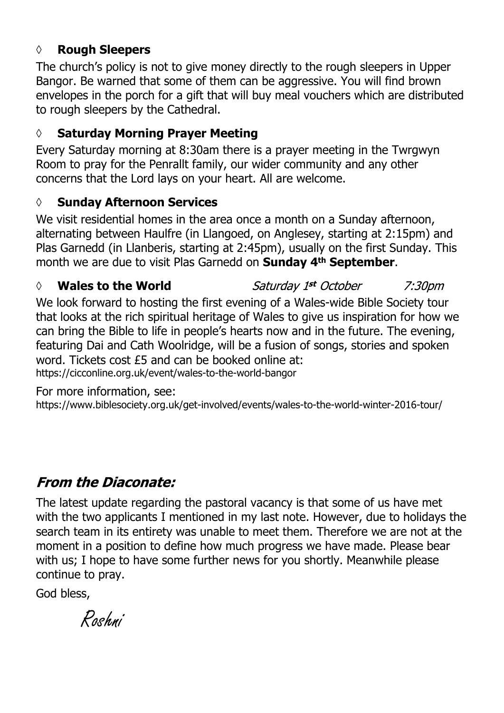#### **◊ Rough Sleepers**

The church's policy is not to give money directly to the rough sleepers in Upper Bangor. Be warned that some of them can be aggressive. You will find brown envelopes in the porch for a gift that will buy meal vouchers which are distributed to rough sleepers by the Cathedral.

#### **◊ Saturday Morning Prayer Meeting**

Every Saturday morning at 8:30am there is a prayer meeting in the Twrgwyn Room to pray for the Penrallt family, our wider community and any other concerns that the Lord lays on your heart. All are welcome.

#### **◊ Sunday Afternoon Services**

We visit residential homes in the area once a month on a Sunday afternoon, alternating between Haulfre (in Llangoed, on Anglesey, starting at 2:15pm) and Plas Garnedd (in Llanberis, starting at 2:45pm), usually on the first Sunday. This month we are due to visit Plas Garnedd on **Sunday 4th September**.

Saturday 1st October *◊* **Wales to the World**  $7:30<sub>pm</sub>$ We look forward to hosting the first evening of a Wales-wide Bible Society tour that looks at the rich spiritual heritage of Wales to give us inspiration for how we can bring the Bible to life in people's hearts now and in the future. The evening, featuring Dai and Cath Woolridge, will be a fusion of songs, stories and spoken word. Tickets cost £5 and can be booked online at: https://cicconline.org.uk/event/wales-to-the-world-bangor

For more information, see:

https://www.biblesociety.org.uk/get-involved/events/wales-to-the-world-winter-2016-tour/

# **From the Diaconate:**

The latest update regarding the pastoral vacancy is that some of us have met with the two applicants I mentioned in my last note. However, due to holidays the search team in its entirety was unable to meet them. Therefore we are not at the moment in a position to define how much progress we have made. Please bear with us; I hope to have some further news for you shortly. Meanwhile please continue to pray.

God bless,

Roshni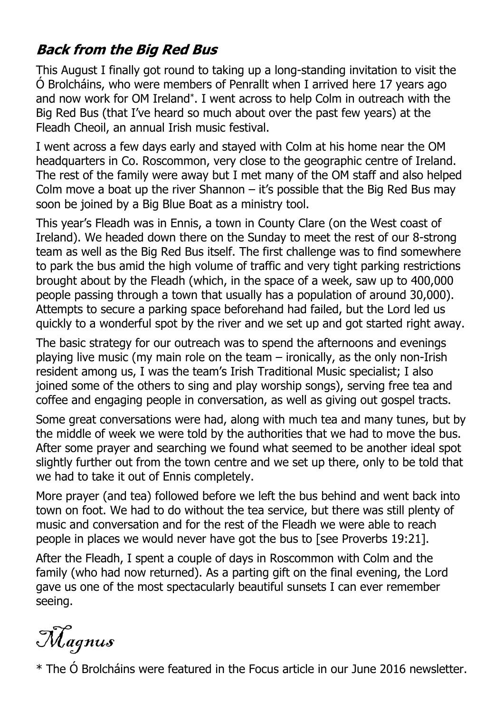# **Back from the Big Red Bus**

This August I finally got round to taking up a long-standing invitation to visit the Ó Brolcháins, who were members of Penrallt when I arrived here 17 years ago and now work for OM Ireland\* . I went across to help Colm in outreach with the Big Red Bus (that I've heard so much about over the past few years) at the Fleadh Cheoil, an annual Irish music festival.

I went across a few days early and stayed with Colm at his home near the OM headquarters in Co. Roscommon, very close to the geographic centre of Ireland. The rest of the family were away but I met many of the OM staff and also helped Colm move a boat up the river Shannon  $-$  it's possible that the Big Red Bus may soon be joined by a Big Blue Boat as a ministry tool.

This year's Fleadh was in Ennis, a town in County Clare (on the West coast of Ireland). We headed down there on the Sunday to meet the rest of our 8-strong team as well as the Big Red Bus itself. The first challenge was to find somewhere to park the bus amid the high volume of traffic and very tight parking restrictions brought about by the Fleadh (which, in the space of a week, saw up to 400,000 people passing through a town that usually has a population of around 30,000). Attempts to secure a parking space beforehand had failed, but the Lord led us quickly to a wonderful spot by the river and we set up and got started right away.

The basic strategy for our outreach was to spend the afternoons and evenings playing live music (my main role on the team – ironically, as the only non-Irish resident among us, I was the team's Irish Traditional Music specialist; I also joined some of the others to sing and play worship songs), serving free tea and coffee and engaging people in conversation, as well as giving out gospel tracts.

Some great conversations were had, along with much tea and many tunes, but by the middle of week we were told by the authorities that we had to move the bus. After some prayer and searching we found what seemed to be another ideal spot slightly further out from the town centre and we set up there, only to be told that we had to take it out of Ennis completely.

More prayer (and tea) followed before we left the bus behind and went back into town on foot. We had to do without the tea service, but there was still plenty of music and conversation and for the rest of the Fleadh we were able to reach people in places we would never have got the bus to [see Proverbs 19:21].

After the Fleadh, I spent a couple of days in Roscommon with Colm and the family (who had now returned). As a parting gift on the final evening, the Lord gave us one of the most spectacularly beautiful sunsets I can ever remember seeing.

Magnus

\* The Ó Brolcháins were featured in the Focus article in our June 2016 newsletter.